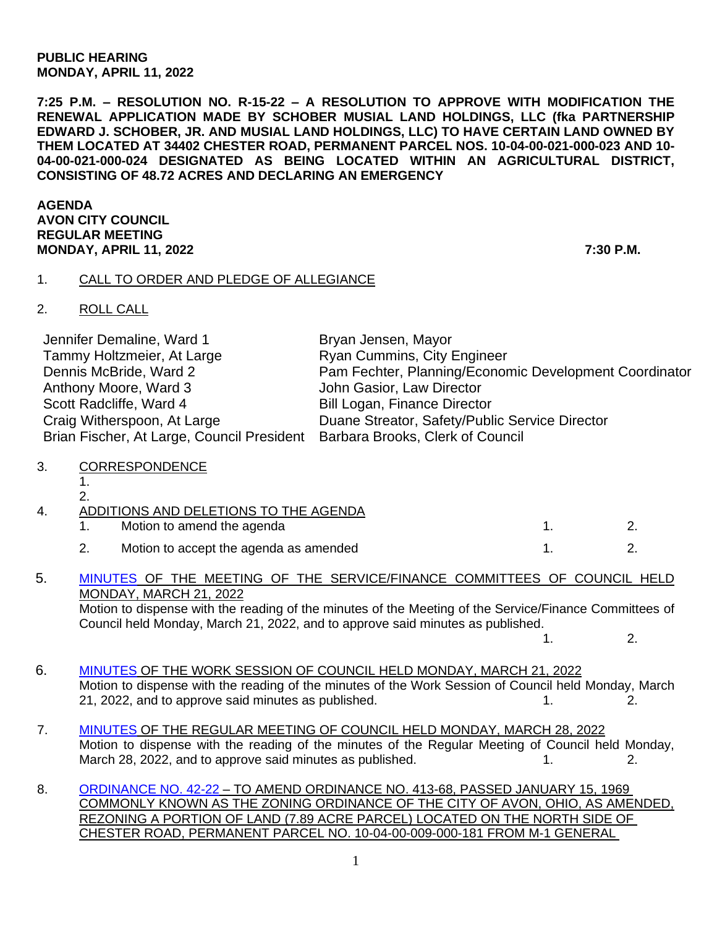#### **PUBLIC HEARING MONDAY, APRIL 11, 2022**

**7:25 P.M. – RESOLUTION NO. R-15-22 – A RESOLUTION TO APPROVE WITH MODIFICATION THE RENEWAL APPLICATION MADE BY SCHOBER MUSIAL LAND HOLDINGS, LLC (fka PARTNERSHIP EDWARD J. SCHOBER, JR. AND MUSIAL LAND HOLDINGS, LLC) TO HAVE CERTAIN LAND OWNED BY THEM LOCATED AT 34402 CHESTER ROAD, PERMANENT PARCEL NOS. 10-04-00-021-000-023 AND 10- 04-00-021-000-024 DESIGNATED AS BEING LOCATED WITHIN AN AGRICULTURAL DISTRICT, CONSISTING OF 48.72 ACRES AND DECLARING AN EMERGENCY**

**AGENDA AVON CITY COUNCIL REGULAR MEETING MONDAY, APRIL 11, 2022 7:30 P.M.**

### 1. CALL TO ORDER AND PLEDGE OF ALLEGIANCE

2. ROLL CALL

| Jennifer Demaline, Ward 1                                                   | Bryan Jensen, Mayor                                    |
|-----------------------------------------------------------------------------|--------------------------------------------------------|
| Tammy Holtzmeier, At Large                                                  | <b>Ryan Cummins, City Engineer</b>                     |
| Dennis McBride, Ward 2                                                      | Pam Fechter, Planning/Economic Development Coordinator |
| Anthony Moore, Ward 3                                                       | John Gasior, Law Director                              |
| Scott Radcliffe, Ward 4                                                     | <b>Bill Logan, Finance Director</b>                    |
| Craig Witherspoon, At Large                                                 | Duane Streator, Safety/Public Service Director         |
| Brian Fischer, At Large, Council President Barbara Brooks, Clerk of Council |                                                        |

- 3. CORRESPONDENCE
	- 1.  $\overline{2}$

|  | ADDITIONS AND DELETIONS TO THE AGENDA  |  |
|--|----------------------------------------|--|
|  | Motion to amend the agenda             |  |
|  | Motion to accept the agenda as amended |  |

#### 5. [MINUTES](https://www.cityofavon.com/AgendaCenter/ViewFile/Minutes/_03212022-1078) OF THE MEETING OF THE SERVICE/FINANCE COMMITTEES OF COUNCIL HELD MONDAY, MARCH 21, 2022 Motion to dispense with the reading of the minutes of the Meeting of the Service/Finance Committees of

Council held Monday, March 21, 2022, and to approve said minutes as published.  $1. 2.$ 

- 6. [MINUTES](https://www.cityofavon.com/AgendaCenter/ViewFile/Minutes/_03212022-1079) OF THE WORK SESSION OF COUNCIL HELD MONDAY, MARCH 21, 2022 Motion to dispense with the reading of the minutes of the Work Session of Council held Monday, March 21, 2022, and to approve said minutes as published. 1. 2.
- 7. [MINUTES](https://www.cityofavon.com/AgendaCenter/ViewFile/Minutes/_03282022-1082) OF THE REGULAR MEETING OF COUNCIL HELD MONDAY, MARCH 28, 2022 Motion to dispense with the reading of the minutes of the Regular Meeting of Council held Monday, March 28, 2022, and to approve said minutes as published. 1. 1. 2.
- 8. [ORDINANCE NO. 42-22](https://www.cityofavon.com/DocumentCenter/View/7699/Ordinance-No-42-22---Rezoning---Concord-Village---Final) TO AMEND ORDINANCE NO. 413-68, PASSED JANUARY 15, 1969 COMMONLY KNOWN AS THE ZONING ORDINANCE OF THE CITY OF AVON, OHIO, AS AMENDED, REZONING A PORTION OF LAND (7.89 ACRE PARCEL) LOCATED ON THE NORTH SIDE OF CHESTER ROAD, PERMANENT PARCEL NO. 10-04-00-009-000-181 FROM M-1 GENERAL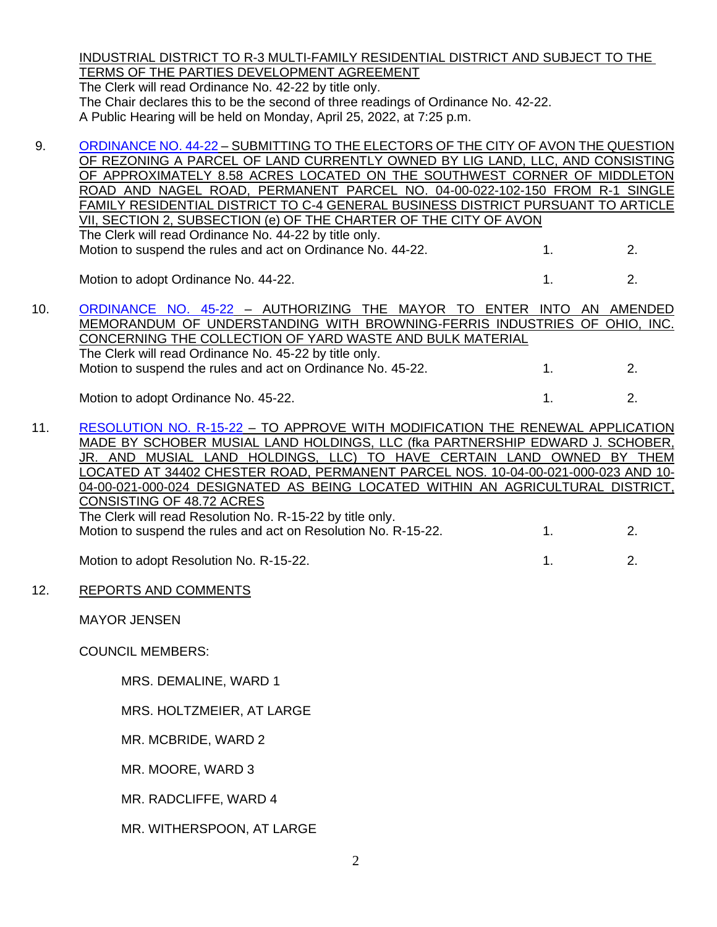INDUSTRIAL DISTRICT TO R-3 MULTI-FAMILY RESIDENTIAL DISTRICT AND SUBJECT TO THE TERMS OF THE PARTIES DEVELOPMENT AGREEMENT

The Clerk will read Ordinance No. 42-22 by title only. The Chair declares this to be the second of three readings of Ordinance No. 42-22. A Public Hearing will be held on Monday, April 25, 2022, at 7:25 p.m.

9. [ORDINANCE NO. 44-22](https://www.cityofavon.com/DocumentCenter/View/7718/Ordinance-No-44-22-Lig-Land-LLC-ballot-rezoning) – SUBMITTING TO THE ELECTORS OF THE CITY OF AVON THE QUESTION OF REZONING A PARCEL OF LAND CURRENTLY OWNED BY LIG LAND, LLC, AND CONSISTING OF APPROXIMATELY 8.58 ACRES LOCATED ON THE SOUTHWEST CORNER OF MIDDLETON ROAD AND NAGEL ROAD, PERMANENT PARCEL NO. 04-00-022-102-150 FROM R-1 SINGLE FAMILY RESIDENTIAL DISTRICT TO C-4 GENERAL BUSINESS DISTRICT PURSUANT TO ARTICLE VII, SECTION 2, SUBSECTION (e) OF THE CHARTER OF THE CITY OF AVON The Clerk will read Ordinance No. 44-22 by title only. Motion to suspend the rules and act on Ordinance No. 44-22. 1. 2. Motion to adopt Ordinance No. 44-22. 1. 2. 10. [ORDINANCE NO. 45-22](https://www.cityofavon.com/DocumentCenter/View/7733/Ordinance-No-45-22-Republic-MOU---Ordinance-Final) – AUTHORIZING THE MAYOR TO ENTER INTO AN AMENDED MEMORANDUM OF UNDERSTANDING WITH BROWNING-FERRIS INDUSTRIES OF OHIO, INC. CONCERNING THE COLLECTION OF YARD WASTE AND BULK MATERIAL The Clerk will read Ordinance No. 45-22 by title only. Motion to suspend the rules and act on Ordinance No. 45-22. 1. 2. Motion to adopt Ordinance No. 45-22. 1. 2. 2.

11. [RESOLUTION NO. R-15-22](https://www.cityofavon.com/DocumentCenter/View/7720/Resolution-No-R-15-22-Schober---Musial-Agr-Dist) – TO APPROVE WITH MODIFICATION THE RENEWAL APPLICATION MADE BY SCHOBER MUSIAL LAND HOLDINGS, LLC (fka PARTNERSHIP EDWARD J. SCHOBER, JR. AND MUSIAL LAND HOLDINGS, LLC) TO HAVE CERTAIN LAND OWNED BY THEM LOCATED AT 34402 CHESTER ROAD, PERMANENT PARCEL NOS. 10-04-00-021-000-023 AND 10- 04-00-021-000-024 DESIGNATED AS BEING LOCATED WITHIN AN AGRICULTURAL DISTRICT, CONSISTING OF 48.72 ACRES The Clerk will read Resolution No. R-15-22 by title only. Motion to suspend the rules and act on Resolution No. R-15-22. 1. 2.

Motion to adopt Resolution No. R-15-22. 1. 2.

### 12. REPORTS AND COMMENTS

MAYOR JENSEN

COUNCIL MEMBERS:

MRS. DEMALINE, WARD 1

MRS. HOLTZMEIER, AT LARGE

MR. MCBRIDE, WARD 2

MR. MOORE, WARD 3

MR. RADCLIFFE, WARD 4

MR. WITHERSPOON, AT LARGE